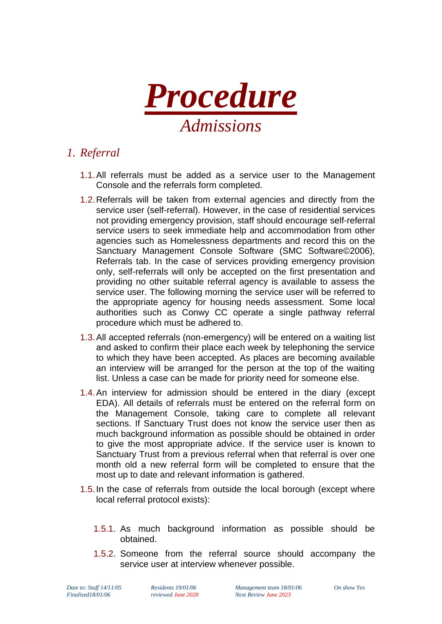

# *1. Referral*

- 1.1.All referrals must be added as a service user to the Management Console and the referrals form completed.
- 1.2.Referrals will be taken from external agencies and directly from the service user (self-referral). However, in the case of residential services not providing emergency provision, staff should encourage self-referral service users to seek immediate help and accommodation from other agencies such as Homelessness departments and record this on the Sanctuary Management Console Software (SMC Software©2006), Referrals tab. In the case of services providing emergency provision only, self-referrals will only be accepted on the first presentation and providing no other suitable referral agency is available to assess the service user. The following morning the service user will be referred to the appropriate agency for housing needs assessment. Some local authorities such as Conwy CC operate a single pathway referral procedure which must be adhered to.
- 1.3.All accepted referrals (non-emergency) will be entered on a waiting list and asked to confirm their place each week by telephoning the service to which they have been accepted. As places are becoming available an interview will be arranged for the person at the top of the waiting list. Unless a case can be made for priority need for someone else.
- 1.4.An interview for admission should be entered in the diary (except EDA). All details of referrals must be entered on the referral form on the Management Console, taking care to complete all relevant sections. If Sanctuary Trust does not know the service user then as much background information as possible should be obtained in order to give the most appropriate advice. If the service user is known to Sanctuary Trust from a previous referral when that referral is over one month old a new referral form will be completed to ensure that the most up to date and relevant information is gathered.
- 1.5.In the case of referrals from outside the local borough (except where local referral protocol exists):
	- 1.5.1. As much background information as possible should be obtained.
	- 1.5.2. Someone from the referral source should accompany the service user at interview whenever possible.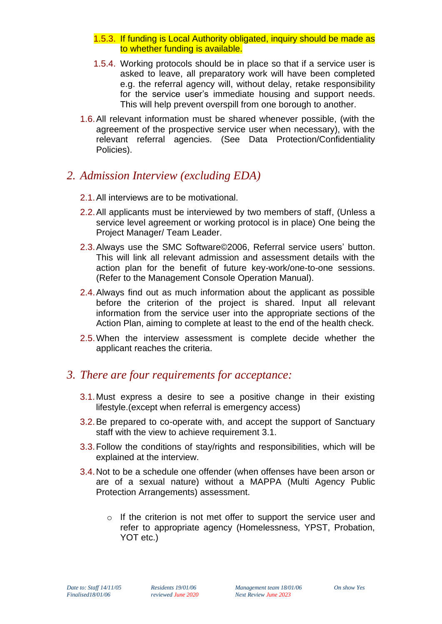- 1.5.3. If funding is Local Authority obligated, inquiry should be made as to whether funding is available.
- 1.5.4. Working protocols should be in place so that if a service user is asked to leave, all preparatory work will have been completed e.g. the referral agency will, without delay, retake responsibility for the service user's immediate housing and support needs. This will help prevent overspill from one borough to another.
- 1.6.All relevant information must be shared whenever possible, (with the agreement of the prospective service user when necessary), with the relevant referral agencies. (See Data Protection/Confidentiality Policies).

#### *2. Admission Interview (excluding EDA)*

- 2.1.All interviews are to be motivational.
- 2.2.All applicants must be interviewed by two members of staff, (Unless a service level agreement or working protocol is in place) One being the Project Manager/ Team Leader.
- 2.3.Always use the SMC Software©2006, Referral service users' button. This will link all relevant admission and assessment details with the action plan for the benefit of future key-work/one-to-one sessions. (Refer to the Management Console Operation Manual).
- 2.4.Always find out as much information about the applicant as possible before the criterion of the project is shared. Input all relevant information from the service user into the appropriate sections of the Action Plan, aiming to complete at least to the end of the health check.
- 2.5.When the interview assessment is complete decide whether the applicant reaches the criteria.

#### *3. There are four requirements for acceptance:*

- 3.1.Must express a desire to see a positive change in their existing lifestyle.(except when referral is emergency access)
- 3.2.Be prepared to co-operate with, and accept the support of Sanctuary staff with the view to achieve requirement 3.1.
- 3.3.Follow the conditions of stay/rights and responsibilities, which will be explained at the interview.
- 3.4.Not to be a schedule one offender (when offenses have been arson or are of a sexual nature) without a MAPPA (Multi Agency Public Protection Arrangements) assessment.
	- o If the criterion is not met offer to support the service user and refer to appropriate agency (Homelessness, YPST, Probation, YOT etc.)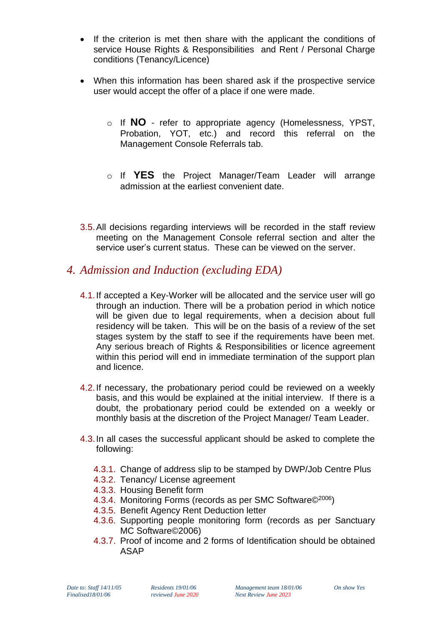- If the criterion is met then share with the applicant the conditions of service House Rights & Responsibilities and Rent / Personal Charge conditions (Tenancy/Licence)
- When this information has been shared ask if the prospective service user would accept the offer of a place if one were made.
	- o If **NO** refer to appropriate agency (Homelessness, YPST, Probation, YOT, etc.) and record this referral on the Management Console Referrals tab.
	- o If **YES** the Project Manager/Team Leader will arrange admission at the earliest convenient date.
- 3.5.All decisions regarding interviews will be recorded in the staff review meeting on the Management Console referral section and alter the service user's current status. These can be viewed on the server.

### *4. Admission and Induction (excluding EDA)*

- 4.1.If accepted a Key-Worker will be allocated and the service user will go through an induction. There will be a probation period in which notice will be given due to legal requirements, when a decision about full residency will be taken. This will be on the basis of a review of the set stages system by the staff to see if the requirements have been met. Any serious breach of Rights & Responsibilities or licence agreement within this period will end in immediate termination of the support plan and licence.
- 4.2.If necessary, the probationary period could be reviewed on a weekly basis, and this would be explained at the initial interview. If there is a doubt, the probationary period could be extended on a weekly or monthly basis at the discretion of the Project Manager/ Team Leader.
- 4.3.In all cases the successful applicant should be asked to complete the following:
	- 4.3.1. Change of address slip to be stamped by DWP/Job Centre Plus
	- 4.3.2. Tenancy/ License agreement
	- 4.3.3. Housing Benefit form
	- 4.3.4. Monitoring Forms (records as per SMC Software©<sup>2006</sup>)
	- 4.3.5. Benefit Agency Rent Deduction letter
	- 4.3.6. Supporting people monitoring form (records as per Sanctuary MC Software©2006)
	- 4.3.7. Proof of income and 2 forms of Identification should be obtained ASAP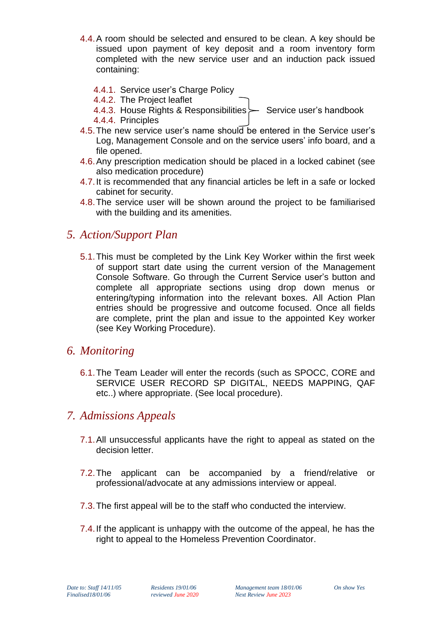- 4.4.A room should be selected and ensured to be clean. A key should be issued upon payment of key deposit and a room inventory form completed with the new service user and an induction pack issued containing:
	- 4.4.1. Service user's Charge Policy
	- 4.4.2. The Project leaflet
	- 4.4.3. House Rights & Responsibilities  $\rightarrow$  Service user's handbook
	- 4.4.4. Principles
- 4.5.The new service user's name should be entered in the Service user's Log, Management Console and on the service users' info board, and a file opened.
- 4.6.Any prescription medication should be placed in a locked cabinet (see also medication procedure)
- 4.7.It is recommended that any financial articles be left in a safe or locked cabinet for security.
- 4.8.The service user will be shown around the project to be familiarised with the building and its amenities.

## *5. Action/Support Plan*

5.1.This must be completed by the Link Key Worker within the first week of support start date using the current version of the Management Console Software. Go through the Current Service user's button and complete all appropriate sections using drop down menus or entering/typing information into the relevant boxes. All Action Plan entries should be progressive and outcome focused. Once all fields are complete, print the plan and issue to the appointed Key worker (see Key Working Procedure).

### *6. Monitoring*

6.1.The Team Leader will enter the records (such as SPOCC, CORE and SERVICE USER RECORD SP DIGITAL, NEEDS MAPPING, QAF etc..) where appropriate. (See local procedure).

### *7. Admissions Appeals*

- 7.1.All unsuccessful applicants have the right to appeal as stated on the decision letter.
- 7.2.The applicant can be accompanied by a friend/relative or professional/advocate at any admissions interview or appeal.
- 7.3.The first appeal will be to the staff who conducted the interview.
- 7.4.If the applicant is unhappy with the outcome of the appeal, he has the right to appeal to the Homeless Prevention Coordinator.